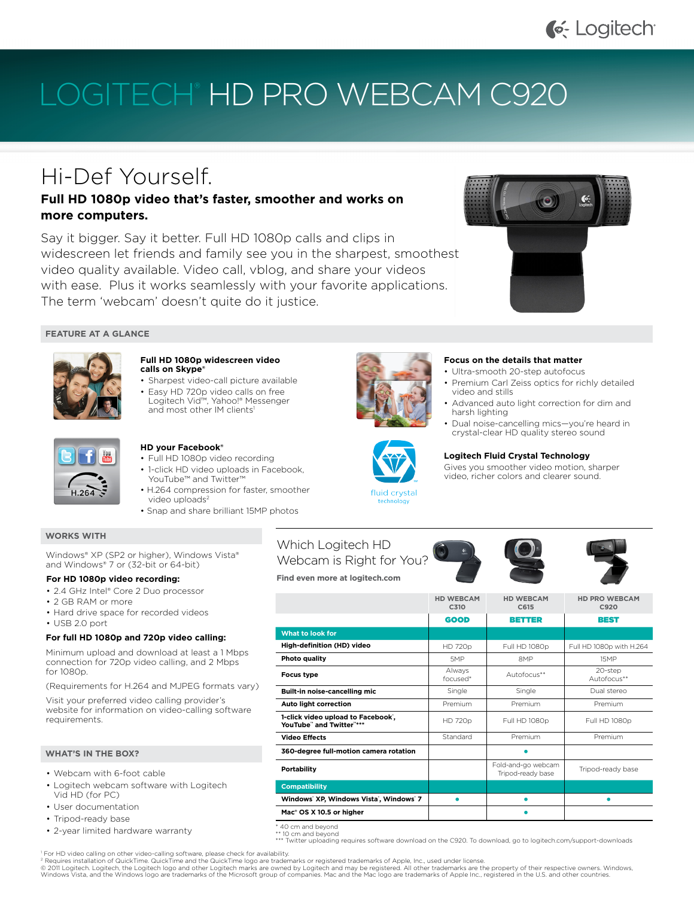## G-Logitech

# LOGITECH<sup>®</sup> HD PRO WEBCAM C920

# Hi-Def Yourself.

### **Full HD 1080p video that's faster, smoother and works on more computers.**

Say it bigger. Say it better. Full HD 1080p calls and clips in widescreen let friends and family see you in the sharpest, smoothest video quality available. Video call, vblog, and share your videos with ease. Plus it works seamlessly with your favorite applications. The term 'webcam' doesn't quite do it justice.



#### **FEATURE AT A GLANCE**



#### **Full HD 1080p widescreen video calls on Skype®**

- Sharpest video-call picture available
- Easy HD 720p video calls on free Logitech Vid™, Yahoo!® Messenger and most other IM clients<sup>1</sup>



#### **HD your Facebook®**

- Full HD 1080p video recording
- 1-click HD video uploads in Facebook. YouTube™ and Twitter • H.264 compression for faster, smoother
	- video uploads<sup>2</sup>
- Snap and share brilliant 15MP photos

#### **WORKS WITH**

Windows® XP (SP2 or higher), Windows Vista® and Windows® 7 or (32-bit or 64-bit)

#### **For HD 1080p video recording:**

- 2.4 GHz Intel® Core 2 Duo processor
- • 2 GB RAM or more
- Hard drive space for recorded videos
- • USB 2.0 port

#### **For full HD 1080p and 720p video calling:**

Minimum upload and download at least a 1 Mbps connection for 720p video calling, and 2 Mbps for 1080p.

(Requirements for H.264 and MJPEG formats vary)

Visit your preferred video calling provider's website for information on video-calling software requirements.

#### **WHAT'S IN THE BOX?**

- • Webcam with 6-foot cable
- • Logitech webcam software with Logitech Vid HD (for PC)
- • User documentation
- Tripod-ready base
- • 2-year limited hardware warranty

## Which Logitech HD Webcam is Right for You?

**Find even more at logitech.com**

|                                                                | <b>HD WEBCAM</b><br>C310 | <b>HD WEBCAM</b><br>C615                | <b>HD PRO WEBCAM</b><br>C920 |
|----------------------------------------------------------------|--------------------------|-----------------------------------------|------------------------------|
|                                                                | <b>GOOD</b>              | <b>BETTER</b>                           | BEST                         |
| What to look for                                               |                          |                                         |                              |
| High-definition (HD) video                                     | <b>HD 720p</b>           | Full HD 1080p                           | Full HD 1080p with H.264     |
| Photo quality                                                  | 5MP                      | 8 <sub>MP</sub>                         | 15MP                         |
| <b>Focus type</b>                                              | Always<br>focused*       | Autofocus**                             | 20-step<br>Autofocus**       |
| Built-in noise-cancelling mic                                  | Single                   | Single                                  | Dual stereo                  |
| Auto light correction                                          | Premium                  | Premium                                 | Premium                      |
| 1-click video upload to Facebook',<br>YouTube" and Twitter"*** | <b>HD 720p</b>           | Full HD 1080p                           | Full HD 1080p                |
| <b>Video Effects</b>                                           | Standard                 | Premium                                 | Premium                      |
| 360-degree full-motion camera rotation                         |                          |                                         |                              |
| <b>Portability</b>                                             |                          | Fold-and-go webcam<br>Tripod-ready base | Tripod-ready base            |
| <b>Compatibility</b>                                           |                          |                                         |                              |
| Windows' XP, Windows Vista', Windows' 7                        |                          |                                         |                              |
| Mac <sup>®</sup> OS X 10.5 or higher                           |                          |                                         |                              |

\* 40 cm and beyond

\*\* 10 cm and beyond \*\*\* Twitter uploading requires software download on the C920. To download, go to logitech.com/support-downloads

1 For HD video calling on other video-calling software, please check for availability.

2 Requires installation of QuickTime. QuickTime and the QuickTime logo are trademarks or registered trademarks of Apple, Inc., used under license. © 2011 Logitech. Logitech, the Logitech logo and other Logitech marks are owned by Logitech and may be registered. All other trademarks are the property of their respective owners. Windows,<br>Windows Vista, and the Windows l

#### **Focus on the details that matter**

- Ultra-smooth 20-step autofocus
- Premium Carl Zeiss optics for richly detailed video and stills
- Advanced auto light correction for dim and harsh lighting
	- Dual noise-cancelling mics-you're heard in crystal-clear HD quality stereo sound

#### **Logitech Fluid Crystal Technology**

Gives you smoother video motion, sharper video, richer colors and clearer sound.











| CRTINIE ANU LITE QUICRTINE TOUD ALE LIQUENTAIRS OF FEUISLETEU LIQUENTAIRS OF ADDIE, INC., USEU UNUENTICENSE. "                                                                                                                                                                                  |
|-------------------------------------------------------------------------------------------------------------------------------------------------------------------------------------------------------------------------------------------------------------------------------------------------|
| logo and other Logitech marks are owned by Logitech and may be registered. All other trademarks are the property of their respective owners.<br>are trademarks of the Microsoft group of companies. Mac and the Mac logo are trademarks of Apple Inc., registered in the U.S. and other countri |
|                                                                                                                                                                                                                                                                                                 |